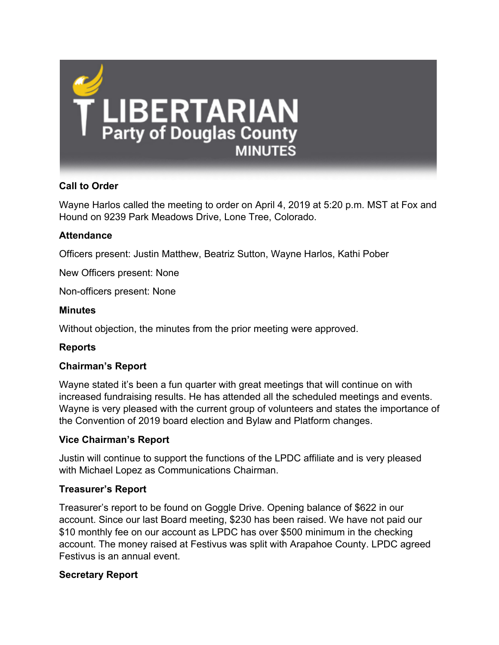

# **Call to Order**

Wayne Harlos called the meeting to order on April 4, 2019 at 5:20 p.m. MST at Fox and Hound on 9239 Park Meadows Drive, Lone Tree, Colorado.

## **Attendance**

Officers present: Justin Matthew, Beatriz Sutton, Wayne Harlos, Kathi Pober

New Officers present: None

Non-officers present: None

#### **Minutes**

Without objection, the minutes from the prior meeting were approved.

#### **Reports**

#### **Chairman's Report**

Wayne stated it's been a fun quarter with great meetings that will continue on with increased fundraising results. He has attended all the scheduled meetings and events. Wayne is very pleased with the current group of volunteers and states the importance of the Convention of 2019 board election and Bylaw and Platform changes.

#### **Vice Chairman's Report**

Justin will continue to support the functions of the LPDC affiliate and is very pleased with Michael Lopez as Communications Chairman.

#### **Treasurer's Report**

Treasurer's report to be found on Goggle Drive. Opening balance of \$622 in our account. Since our last Board meeting, \$230 has been raised. We have not paid our \$10 monthly fee on our account as LPDC has over \$500 minimum in the checking account. The money raised at Festivus was split with Arapahoe County. LPDC agreed Festivus is an annual event.

#### **Secretary Report**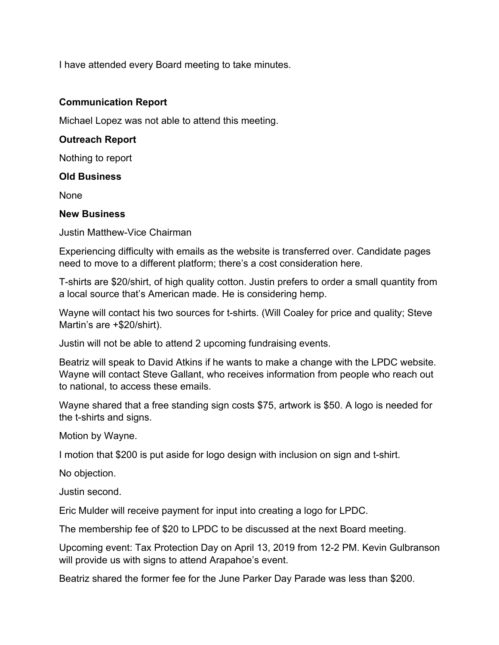I have attended every Board meeting to take minutes.

#### **Communication Report**

Michael Lopez was not able to attend this meeting.

### **Outreach Report**

Nothing to report

#### **Old Business**

**None** 

#### **New Business**

Justin Matthew-Vice Chairman

Experiencing difficulty with emails as the website is transferred over. Candidate pages need to move to a different platform; there's a cost consideration here.

T-shirts are \$20/shirt, of high quality cotton. Justin prefers to order a small quantity from a local source that's American made. He is considering hemp.

Wayne will contact his two sources for t-shirts. (Will Coaley for price and quality; Steve Martin's are +\$20/shirt).

Justin will not be able to attend 2 upcoming fundraising events.

Beatriz will speak to David Atkins if he wants to make a change with the LPDC website. Wayne will contact Steve Gallant, who receives information from people who reach out to national, to access these emails.

Wayne shared that a free standing sign costs \$75, artwork is \$50. A logo is needed for the t-shirts and signs.

Motion by Wayne.

I motion that \$200 is put aside for logo design with inclusion on sign and t-shirt.

No objection.

Justin second.

Eric Mulder will receive payment for input into creating a logo for LPDC.

The membership fee of \$20 to LPDC to be discussed at the next Board meeting.

Upcoming event: Tax Protection Day on April 13, 2019 from 12-2 PM. Kevin Gulbranson will provide us with signs to attend Arapahoe's event.

Beatriz shared the former fee for the June Parker Day Parade was less than \$200.